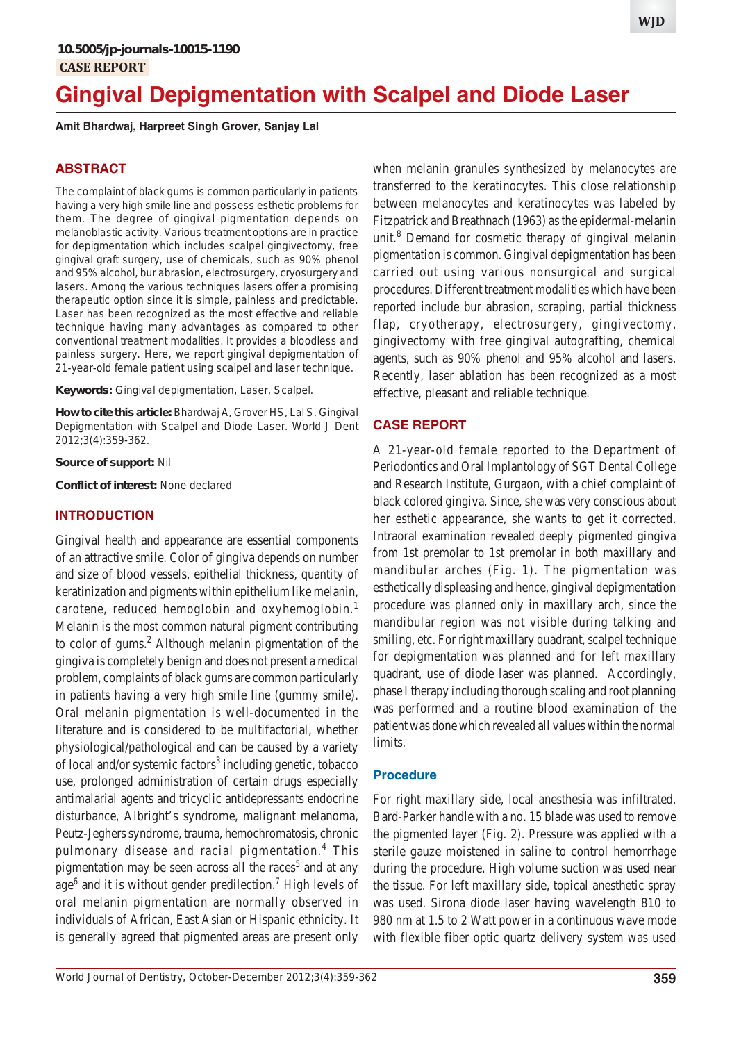# **Gingival Depigmentation with Scalpel and Diode Laser**

**Amit Bhardwaj, Harpreet Singh Grover, Sanjay Lal**

# **ABSTRACT**

The complaint of black gums is common particularly in patients having a very high smile line and possess esthetic problems for them. The degree of gingival pigmentation depends on melanoblastic activity. Various treatment options are in practice for depigmentation which includes scalpel gingivectomy, free gingival graft surgery, use of chemicals, such as 90% phenol and 95% alcohol, bur abrasion, electrosurgery, cryosurgery and lasers. Among the various techniques lasers offer a promising therapeutic option since it is simple, painless and predictable. Laser has been recognized as the most effective and reliable technique having many advantages as compared to other conventional treatment modalities. It provides a bloodless and painless surgery. Here, we report gingival depigmentation of 21-year-old female patient using scalpel and laser technique.

**Keywords:** Gingival depigmentation, Laser, Scalpel.

**How to cite this article:** Bhardwaj A, Grover HS, Lal S. Gingival Depigmentation with Scalpel and Diode Laser. World J Dent 2012;3(4):359-362.

**Source of support:** Nil

**Conflict of interest:** None declared

#### **INTRODUCTION**

Gingival health and appearance are essential components of an attractive smile. Color of gingiva depends on number and size of blood vessels, epithelial thickness, quantity of keratinization and pigments within epithelium like melanin, carotene, reduced hemoglobin and oxyhemoglobin.<sup>1</sup> Melanin is the most common natural pigment contributing to color of gums.<sup>2</sup> Although melanin pigmentation of the gingiva is completely benign and does not present a medical problem, complaints of black gums are common particularly in patients having a very high smile line (gummy smile). Oral melanin pigmentation is well-documented in the literature and is considered to be multifactorial, whether physiological/pathological and can be caused by a variety of local and/or systemic factors<sup>3</sup> including genetic, tobacco use, prolonged administration of certain drugs especially antimalarial agents and tricyclic antidepressants endocrine disturbance, Albright's syndrome, malignant melanoma, Peutz-Jeghers syndrome, trauma, hemochromatosis, chronic pulmonary disease and racial pigmentation.<sup>4</sup> This pigmentation may be seen across all the races<sup>5</sup> and at any age<sup>6</sup> and it is without gender predilection.<sup>7</sup> High levels of oral melanin pigmentation are normally observed in individuals of African, East Asian or Hispanic ethnicity. It is generally agreed that pigmented areas are present only

when melanin granules synthesized by melanocytes are transferred to the keratinocytes. This close relationship between melanocytes and keratinocytes was labeled by Fitzpatrick and Breathnach (1963) as the epidermal-melanin unit.<sup>8</sup> Demand for cosmetic therapy of gingival melanin pigmentation is common. Gingival depigmentation has been carried out using various nonsurgical and surgical procedures. Different treatment modalities which have been reported include bur abrasion, scraping, partial thickness flap, cryotherapy, electrosurgery, gingivectomy, gingivectomy with free gingival autografting, chemical agents, such as 90% phenol and 95% alcohol and lasers. Recently, laser ablation has been recognized as a most effective, pleasant and reliable technique.

## **CASE REPORT**

A 21-year-old female reported to the Department of Periodontics and Oral Implantology of SGT Dental College and Research Institute, Gurgaon, with a chief complaint of black colored gingiva. Since, she was very conscious about her esthetic appearance, she wants to get it corrected. Intraoral examination revealed deeply pigmented gingiva from 1st premolar to 1st premolar in both maxillary and mandibular arches (Fig. 1). The pigmentation was esthetically displeasing and hence, gingival depigmentation procedure was planned only in maxillary arch, since the mandibular region was not visible during talking and smiling, etc. For right maxillary quadrant, scalpel technique for depigmentation was planned and for left maxillary quadrant, use of diode laser was planned. Accordingly, phase I therapy including thorough scaling and root planning was performed and a routine blood examination of the patient was done which revealed all values within the normal limits.

### **Procedure**

For right maxillary side, local anesthesia was infiltrated. Bard-Parker handle with a no. 15 blade was used to remove the pigmented layer (Fig. 2). Pressure was applied with a sterile gauze moistened in saline to control hemorrhage during the procedure. High volume suction was used near the tissue. For left maxillary side, topical anesthetic spray was used. Sirona diode laser having wavelength 810 to 980 nm at 1.5 to 2 Watt power in a continuous wave mode with flexible fiber optic quartz delivery system was used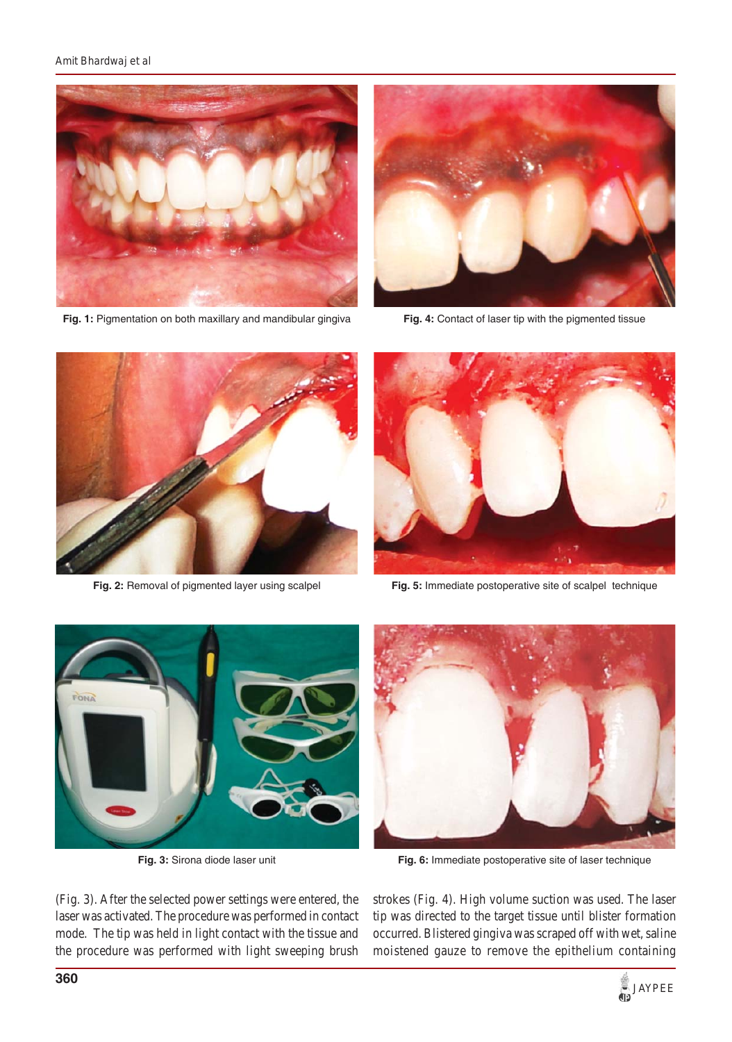#### *Amit Bhardwaj et al*



**Fig. 1:** Pigmentation on both maxillary and mandibular gingiva



Fig. 4: Contact of laser tip with the pigmented tissue



**Fig. 2:** Removal of pigmented layer using scalpel



**Fig. 5:** Immediate postoperative site of scalpel technique



**Fig. 3:** Sirona diode laser unit



**Fig. 6:** Immediate postoperative site of laser technique

(Fig. 3). After the selected power settings were entered, the laser was activated. The procedure was performed in contact mode. The tip was held in light contact with the tissue and the procedure was performed with light sweeping brush strokes (Fig. 4). High volume suction was used. The laser tip was directed to the target tissue until blister formation occurred. Blistered gingiva was scraped off with wet, saline moistened gauze to remove the epithelium containing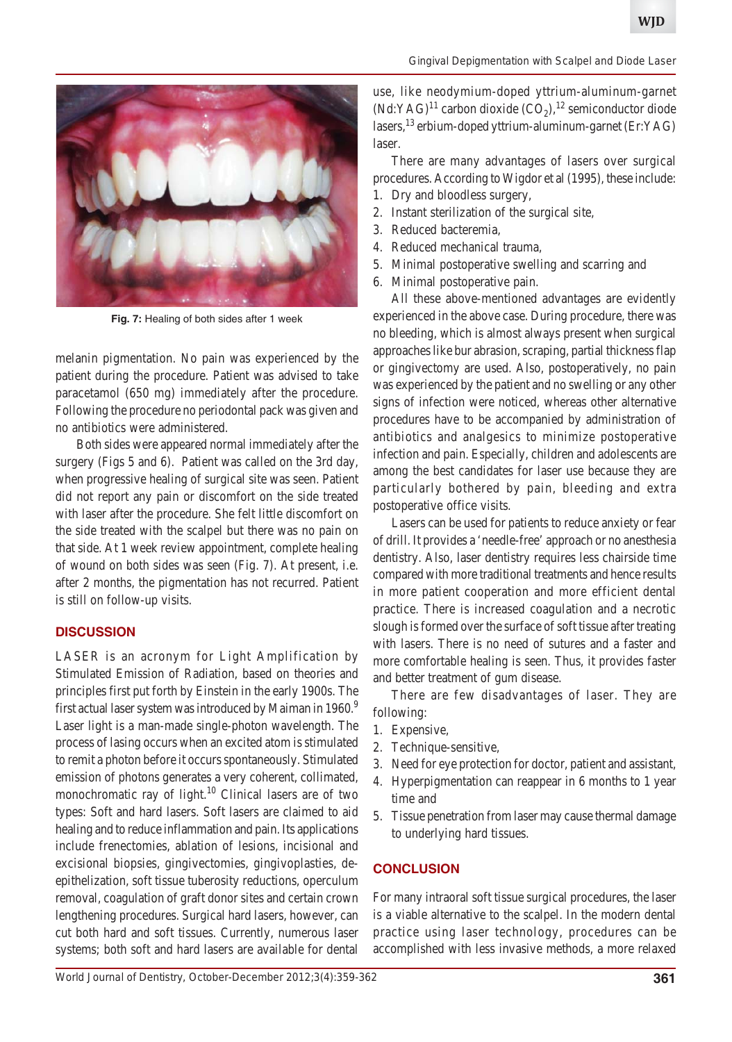

**Fig. 7:** Healing of both sides after 1 week

melanin pigmentation. No pain was experienced by the patient during the procedure. Patient was advised to take paracetamol (650 mg) immediately after the procedure. Following the procedure no periodontal pack was given and no antibiotics were administered.

 Both sides were appeared normal immediately after the surgery (Figs 5 and 6). Patient was called on the 3rd day, when progressive healing of surgical site was seen. Patient did not report any pain or discomfort on the side treated with laser after the procedure. She felt little discomfort on the side treated with the scalpel but there was no pain on that side. At 1 week review appointment, complete healing of wound on both sides was seen (Fig. 7). At present, i.e. after 2 months, the pigmentation has not recurred. Patient is still on follow-up visits.

# **DISCUSSION**

LASER is an acronym for Light Amplification by Stimulated Emission of Radiation, based on theories and principles first put forth by Einstein in the early 1900s. The first actual laser system was introduced by Maiman in 1960.<sup>9</sup> Laser light is a man-made single-photon wavelength. The process of lasing occurs when an excited atom is stimulated to remit a photon before it occurs spontaneously. Stimulated emission of photons generates a very coherent, collimated, monochromatic ray of light.<sup>10</sup> Clinical lasers are of two types: Soft and hard lasers. Soft lasers are claimed to aid healing and to reduce inflammation and pain. Its applications include frenectomies, ablation of lesions, incisional and excisional biopsies, gingivectomies, gingivoplasties, deepithelization, soft tissue tuberosity reductions, operculum removal, coagulation of graft donor sites and certain crown lengthening procedures. Surgical hard lasers, however, can cut both hard and soft tissues. Currently, numerous laser systems; both soft and hard lasers are available for dental

use, like neodymium-doped yttrium-aluminum-garnet  $(Nd:YAG)^{11}$  carbon dioxide  $(CO<sub>2</sub>)$ ,<sup>12</sup> semiconductor diode lasers,  $^{13}$  erbium-doped yttrium-aluminum-garnet (Er:YAG) laser.

There are many advantages of lasers over surgical procedures. According to Wigdor et al (1995), these include:

- 1. Dry and bloodless surgery,
- 2. Instant sterilization of the surgical site,
- 3. Reduced bacteremia,
- 4. Reduced mechanical trauma,
- 5. Minimal postoperative swelling and scarring and
- 6. Minimal postoperative pain.

All these above-mentioned advantages are evidently experienced in the above case. During procedure, there was no bleeding, which is almost always present when surgical approaches like bur abrasion, scraping, partial thickness flap or gingivectomy are used. Also, postoperatively, no pain was experienced by the patient and no swelling or any other signs of infection were noticed, whereas other alternative procedures have to be accompanied by administration of antibiotics and analgesics to minimize postoperative infection and pain. Especially, children and adolescents are among the best candidates for laser use because they are particularly bothered by pain, bleeding and extra postoperative office visits.

Lasers can be used for patients to reduce anxiety or fear of drill. It provides a 'needle-free' approach or no anesthesia dentistry. Also, laser dentistry requires less chairside time compared with more traditional treatments and hence results in more patient cooperation and more efficient dental practice. There is increased coagulation and a necrotic slough is formed over the surface of soft tissue after treating with lasers. There is no need of sutures and a faster and more comfortable healing is seen. Thus, it provides faster and better treatment of gum disease.

There are few disadvantages of laser. They are following:

- 1. Expensive,
- 2. Technique-sensitive,
- 3. Need for eye protection for doctor, patient and assistant,
- 4. Hyperpigmentation can reappear in 6 months to 1 year time and
- 5. Tissue penetration from laser may cause thermal damage to underlying hard tissues.

# **CONCLUSION**

For many intraoral soft tissue surgical procedures, the laser is a viable alternative to the scalpel. In the modern dental practice using laser technology, procedures can be accomplished with less invasive methods, a more relaxed